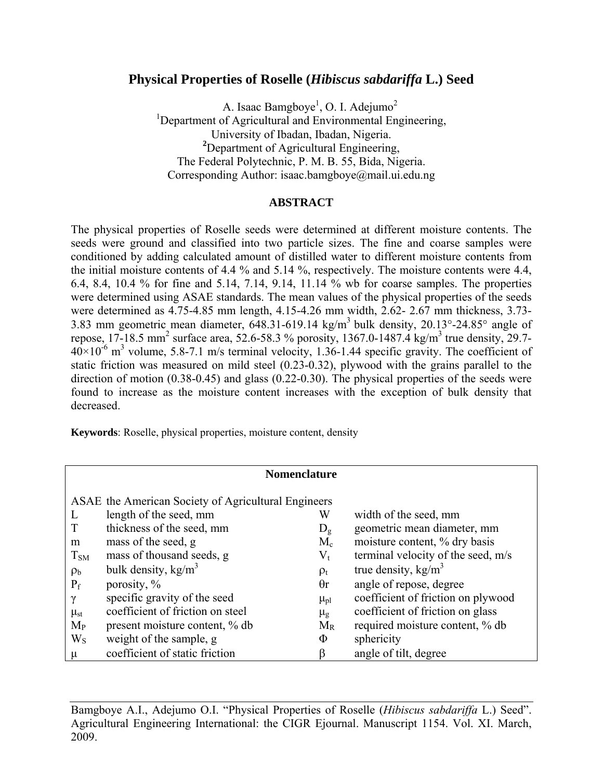# **Physical Properties of Roselle (***Hibiscus sabdariffa* **L.) Seed**

A. Isaac Bamgboye<sup>1</sup>, O. I. Adejumo<sup>2</sup> <sup>1</sup>Department of Agricultural and Environmental Engineering, University of Ibadan, Ibadan, Nigeria. <sup>2</sup>Department of Agricultural Engineering, The Federal Polytechnic, P. M. B. 55, Bida, Nigeria. Corresponding Author: isaac.bamgboye@mail.ui.edu.ng

### **ABSTRACT**

The physical properties of Roselle seeds were determined at different moisture contents. The seeds were ground and classified into two particle sizes. The fine and coarse samples were conditioned by adding calculated amount of distilled water to different moisture contents from the initial moisture contents of 4.4 % and 5.14 %, respectively. The moisture contents were 4.4, 6.4, 8.4, 10.4 % for fine and 5.14, 7.14, 9.14, 11.14 % wb for coarse samples. The properties were determined using ASAE standards. The mean values of the physical properties of the seeds were determined as 4.75-4.85 mm length, 4.15-4.26 mm width, 2.62- 2.67 mm thickness, 3.73- 3.83 mm geometric mean diameter,  $648.31 - 619.14 \text{ kg/m}^3$  bulk density,  $20.13^{\circ}$ -24.85° angle of repose, 17-18.5 mm<sup>2</sup> surface area, 52.6-58.3 % porosity, 1367.0-1487.4 kg/m<sup>3</sup> true density, 29.7- $40 \times 10^{-6}$  m<sup>3</sup> volume, 5.8-7.1 m/s terminal velocity, 1.36-1.44 specific gravity. The coefficient of static friction was measured on mild steel (0.23-0.32), plywood with the grains parallel to the direction of motion (0.38-0.45) and glass (0.22-0.30). The physical properties of the seeds were found to increase as the moisture content increases with the exception of bulk density that decreased.

**Keywords**: Roselle, physical properties, moisture content, density

| <b>Nomenclature</b>                                 |                                  |               |                                    |  |  |  |
|-----------------------------------------------------|----------------------------------|---------------|------------------------------------|--|--|--|
| ASAE the American Society of Agricultural Engineers |                                  |               |                                    |  |  |  |
| L                                                   | length of the seed, mm           | W             | width of the seed, mm              |  |  |  |
|                                                     | thickness of the seed, mm        | $D_{\rm g}$   | geometric mean diameter, mm        |  |  |  |
| m                                                   | mass of the seed, g              | $M_c$         | moisture content, % dry basis      |  |  |  |
| $T_{SM}$                                            | mass of thousand seeds, g        | $V_{t}$       | terminal velocity of the seed, m/s |  |  |  |
| $\rho_{\rm b}$                                      | bulk density, kg/m <sup>3</sup>  | $\rho_t$      | true density, $\text{kg/m}^3$      |  |  |  |
| $P_f$                                               | porosity, $\%$                   | $\theta$ r    | angle of repose, degree            |  |  |  |
| $\gamma$                                            | specific gravity of the seed     | $\mu_{pl}$    | coefficient of friction on plywood |  |  |  |
| $\mu_{st}$                                          | coefficient of friction on steel | $\mu_{\rm g}$ | coefficient of friction on glass   |  |  |  |
| $M_{P}$                                             | present moisture content, % db   | $M_R$         | required moisture content, % db    |  |  |  |
| $W_{S}$                                             | weight of the sample, g          | Φ             | sphericity                         |  |  |  |
| μ                                                   | coefficient of static friction   | β             | angle of tilt, degree              |  |  |  |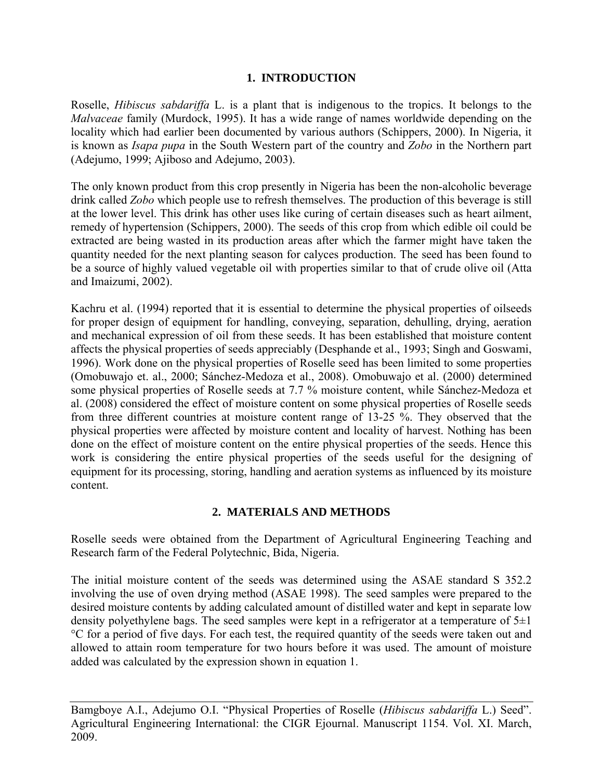## **1. INTRODUCTION**

Roselle, *Hibiscus sabdariffa* L. is a plant that is indigenous to the tropics. It belongs to the *Malvaceae* family (Murdock, 1995). It has a wide range of names worldwide depending on the locality which had earlier been documented by various authors (Schippers, 2000). In Nigeria, it is known as *Isapa pupa* in the South Western part of the country and *Zobo* in the Northern part (Adejumo, 1999; Ajiboso and Adejumo, 2003).

The only known product from this crop presently in Nigeria has been the non-alcoholic beverage drink called *Zobo* which people use to refresh themselves. The production of this beverage is still at the lower level. This drink has other uses like curing of certain diseases such as heart ailment, remedy of hypertension (Schippers, 2000). The seeds of this crop from which edible oil could be extracted are being wasted in its production areas after which the farmer might have taken the quantity needed for the next planting season for calyces production. The seed has been found to be a source of highly valued vegetable oil with properties similar to that of crude olive oil (Atta and Imaizumi, 2002).

Kachru et al. (1994) reported that it is essential to determine the physical properties of oilseeds for proper design of equipment for handling, conveying, separation, dehulling, drying, aeration and mechanical expression of oil from these seeds. It has been established that moisture content affects the physical properties of seeds appreciably (Desphande et al., 1993; Singh and Goswami, 1996). Work done on the physical properties of Roselle seed has been limited to some properties (Omobuwajo et. al., 2000; Sánchez-Medoza et al., 2008). Omobuwajo et al. (2000) determined some physical properties of Roselle seeds at 7.7 % moisture content, while Sánchez-Medoza et al. (2008) considered the effect of moisture content on some physical properties of Roselle seeds from three different countries at moisture content range of 13-25 %. They observed that the physical properties were affected by moisture content and locality of harvest. Nothing has been done on the effect of moisture content on the entire physical properties of the seeds. Hence this work is considering the entire physical properties of the seeds useful for the designing of equipment for its processing, storing, handling and aeration systems as influenced by its moisture content.

### **2. MATERIALS AND METHODS**

Roselle seeds were obtained from the Department of Agricultural Engineering Teaching and Research farm of the Federal Polytechnic, Bida, Nigeria.

The initial moisture content of the seeds was determined using the ASAE standard S 352.2 involving the use of oven drying method (ASAE 1998). The seed samples were prepared to the desired moisture contents by adding calculated amount of distilled water and kept in separate low density polyethylene bags. The seed samples were kept in a refrigerator at a temperature of  $5\pm 1$ °C for a period of five days. For each test, the required quantity of the seeds were taken out and allowed to attain room temperature for two hours before it was used. The amount of moisture added was calculated by the expression shown in equation 1.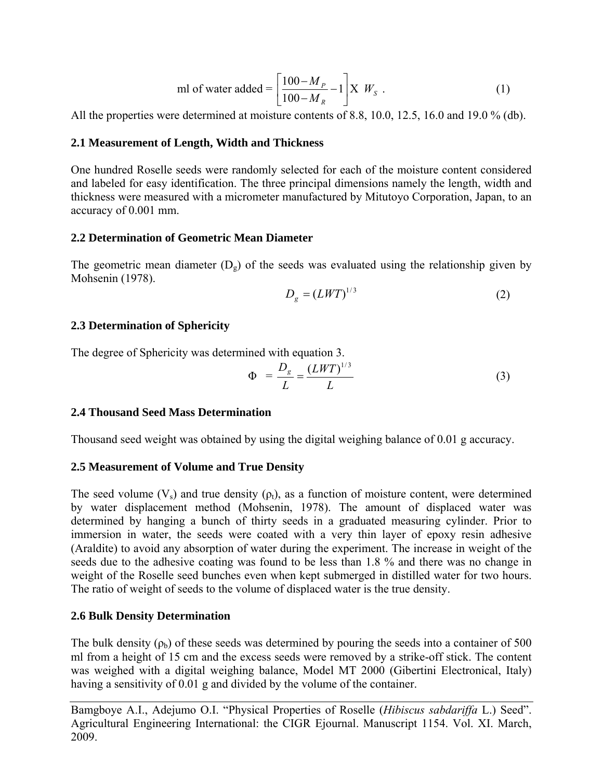ml of water added = 
$$
\left[\frac{100 - M_{P}}{100 - M_{R}} - 1\right] \times W_{S}.
$$
 (1)

All the properties were determined at moisture contents of 8.8, 10.0, 12.5, 16.0 and 19.0 % (db).

### **2.1 Measurement of Length, Width and Thickness**

One hundred Roselle seeds were randomly selected for each of the moisture content considered and labeled for easy identification. The three principal dimensions namely the length, width and thickness were measured with a micrometer manufactured by Mitutoyo Corporation, Japan, to an accuracy of 0.001 mm.

### **2.2 Determination of Geometric Mean Diameter**

The geometric mean diameter  $(D_g)$  of the seeds was evaluated using the relationship given by Mohsenin (1978).

$$
D_g = (LWT)^{1/3} \tag{2}
$$

#### **2.3 Determination of Sphericity**

The degree of Sphericity was determined with equation 3.

$$
\Phi = \frac{D_g}{L} = \frac{(LWT)^{1/3}}{L} \tag{3}
$$

#### **2.4 Thousand Seed Mass Determination**

Thousand seed weight was obtained by using the digital weighing balance of 0.01 g accuracy.

### **2.5 Measurement of Volume and True Density**

The seed volume  $(V_s)$  and true density  $(\rho_t)$ , as a function of moisture content, were determined by water displacement method (Mohsenin, 1978). The amount of displaced water was determined by hanging a bunch of thirty seeds in a graduated measuring cylinder. Prior to immersion in water, the seeds were coated with a very thin layer of epoxy resin adhesive (Araldite) to avoid any absorption of water during the experiment. The increase in weight of the seeds due to the adhesive coating was found to be less than 1.8 % and there was no change in weight of the Roselle seed bunches even when kept submerged in distilled water for two hours. The ratio of weight of seeds to the volume of displaced water is the true density.

### **2.6 Bulk Density Determination**

The bulk density  $(\rho_b)$  of these seeds was determined by pouring the seeds into a container of 500 ml from a height of 15 cm and the excess seeds were removed by a strike-off stick. The content was weighed with a digital weighing balance, Model MT 2000 (Gibertini Electronical, Italy) having a sensitivity of 0.01 g and divided by the volume of the container.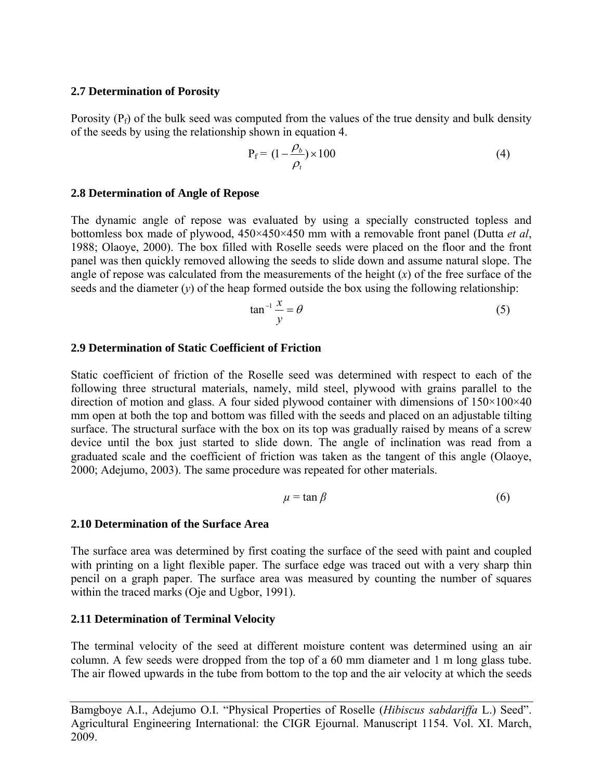#### **2.7 Determination of Porosity**

Porosity  $(P_f)$  of the bulk seed was computed from the values of the true density and bulk density of the seeds by using the relationship shown in equation 4.

$$
P_f = (1 - \frac{\rho_b}{\rho_t}) \times 100
$$
 (4)

#### **2.8 Determination of Angle of Repose**

The dynamic angle of repose was evaluated by using a specially constructed topless and bottomless box made of plywood, 450×450×450 mm with a removable front panel (Dutta *et al*, 1988; Olaoye, 2000). The box filled with Roselle seeds were placed on the floor and the front panel was then quickly removed allowing the seeds to slide down and assume natural slope. The angle of repose was calculated from the measurements of the height  $(x)$  of the free surface of the seeds and the diameter  $(v)$  of the heap formed outside the box using the following relationship:

$$
\tan^{-1}\frac{x}{y} = \theta \tag{5}
$$

#### **2.9 Determination of Static Coefficient of Friction**

Static coefficient of friction of the Roselle seed was determined with respect to each of the following three structural materials, namely, mild steel, plywood with grains parallel to the direction of motion and glass. A four sided plywood container with dimensions of  $150\times100\times40$ mm open at both the top and bottom was filled with the seeds and placed on an adjustable tilting surface. The structural surface with the box on its top was gradually raised by means of a screw device until the box just started to slide down. The angle of inclination was read from a graduated scale and the coefficient of friction was taken as the tangent of this angle (Olaoye, 2000; Adejumo, 2003). The same procedure was repeated for other materials.

$$
\mu = \tan \beta \tag{6}
$$

#### **2.10 Determination of the Surface Area**

The surface area was determined by first coating the surface of the seed with paint and coupled with printing on a light flexible paper. The surface edge was traced out with a very sharp thin pencil on a graph paper. The surface area was measured by counting the number of squares within the traced marks (Oje and Ugbor, 1991).

#### **2.11 Determination of Terminal Velocity**

The terminal velocity of the seed at different moisture content was determined using an air column. A few seeds were dropped from the top of a 60 mm diameter and 1 m long glass tube. The air flowed upwards in the tube from bottom to the top and the air velocity at which the seeds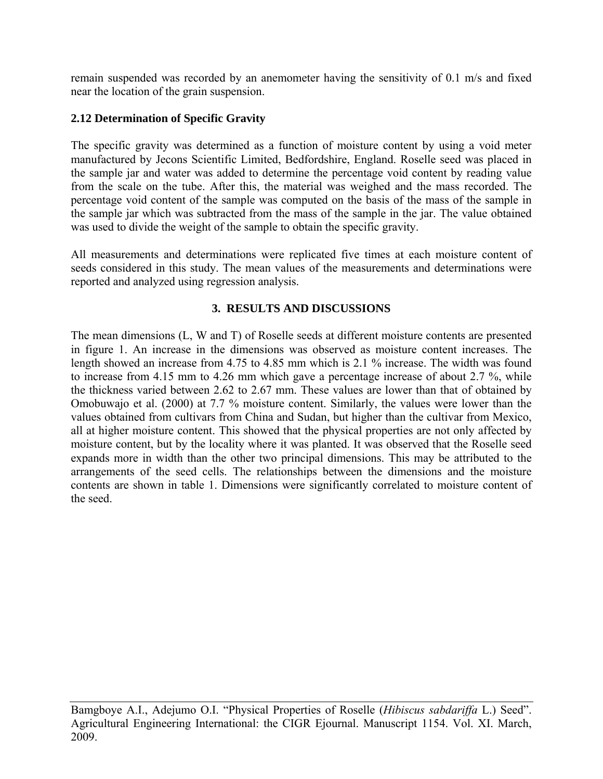remain suspended was recorded by an anemometer having the sensitivity of 0.1 m/s and fixed near the location of the grain suspension.

## **2.12 Determination of Specific Gravity**

The specific gravity was determined as a function of moisture content by using a void meter manufactured by Jecons Scientific Limited, Bedfordshire, England. Roselle seed was placed in the sample jar and water was added to determine the percentage void content by reading value from the scale on the tube. After this, the material was weighed and the mass recorded. The percentage void content of the sample was computed on the basis of the mass of the sample in the sample jar which was subtracted from the mass of the sample in the jar. The value obtained was used to divide the weight of the sample to obtain the specific gravity.

All measurements and determinations were replicated five times at each moisture content of seeds considered in this study. The mean values of the measurements and determinations were reported and analyzed using regression analysis.

## **3. RESULTS AND DISCUSSIONS**

The mean dimensions (L, W and T) of Roselle seeds at different moisture contents are presented in figure 1. An increase in the dimensions was observed as moisture content increases. The length showed an increase from 4.75 to 4.85 mm which is 2.1 % increase. The width was found to increase from 4.15 mm to 4.26 mm which gave a percentage increase of about 2.7 %, while the thickness varied between 2.62 to 2.67 mm. These values are lower than that of obtained by Omobuwajo et al. (2000) at 7.7 % moisture content. Similarly, the values were lower than the values obtained from cultivars from China and Sudan, but higher than the cultivar from Mexico, all at higher moisture content. This showed that the physical properties are not only affected by moisture content, but by the locality where it was planted. It was observed that the Roselle seed expands more in width than the other two principal dimensions. This may be attributed to the arrangements of the seed cells. The relationships between the dimensions and the moisture contents are shown in table 1. Dimensions were significantly correlated to moisture content of the seed.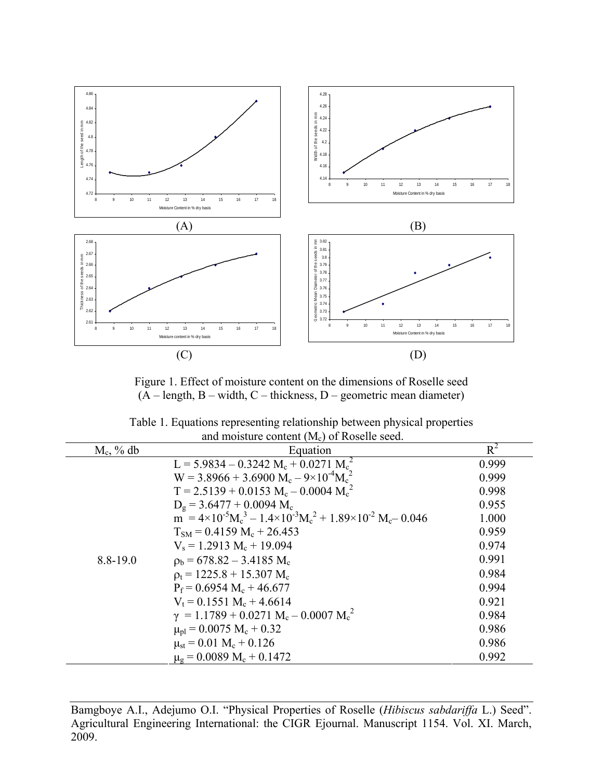

Figure 1. Effect of moisture content on the dimensions of Roselle seed  $(A - \text{length}, B - \text{width}, C - \text{thickness}, D - \text{geometric mean diameter})$ 

| Table 1. Equations representing relationship between physical properties |
|--------------------------------------------------------------------------|
| and moisture content $(M_c)$ of Roselle seed.                            |

| $M_c$ , % db | and molbidity content (1916) of reducite beca.<br>Equation                                                                                                       | $R^2$ |
|--------------|------------------------------------------------------------------------------------------------------------------------------------------------------------------|-------|
|              | $L = 5.9834 - 0.3242 M_c + 0.0271 M_c^2$                                                                                                                         | 0.999 |
|              | $W = 3.8966 + 3.6900 M_c - 9 \times 10^{-4} M_c^2$                                                                                                               | 0.999 |
|              | $T = 2.5139 + 0.0153 M_c - 0.0004 M_c^2$                                                                                                                         | 0.998 |
|              | $D_g = 3.6477 + 0.0094$ M <sub>c</sub>                                                                                                                           | 0.955 |
|              | $\overline{m}$ = 4×10 <sup>-5</sup> M <sub>c</sub> <sup>3</sup> – 1.4×10 <sup>-3</sup> M <sub>c</sub> <sup>2</sup> + 1.89×10 <sup>-2</sup> M <sub>c</sub> -0.046 | 1.000 |
|              | $T_{SM} = 0.4159 M_c + 26.453$                                                                                                                                   | 0.959 |
|              | $V_s = 1.2913 M_c + 19.094$                                                                                                                                      | 0.974 |
| 8.8-19.0     | $\rho_b = 678.82 - 3.4185 M_c$                                                                                                                                   | 0.991 |
|              | $p_t = 1225.8 + 15.307$ M <sub>c</sub>                                                                                                                           | 0.984 |
|              | $P_f = 0.6954 M_c + 46.677$                                                                                                                                      | 0.994 |
|              | $V_t = 0.1551 M_c + 4.6614$                                                                                                                                      | 0.921 |
|              | $\gamma = 1.1789 + 0.0271 M_c - 0.0007 M_c^2$                                                                                                                    | 0.984 |
|              | $\mu_{\rm pl}$ = 0.0075 M <sub>c</sub> + 0.32                                                                                                                    | 0.986 |
|              | $\mu_{st}$ = 0.01 M <sub>c</sub> + 0.126                                                                                                                         | 0.986 |
|              | $\mu_{\rm g} = 0.0089 \text{ M}_{\rm c} + 0.1472$                                                                                                                | 0.992 |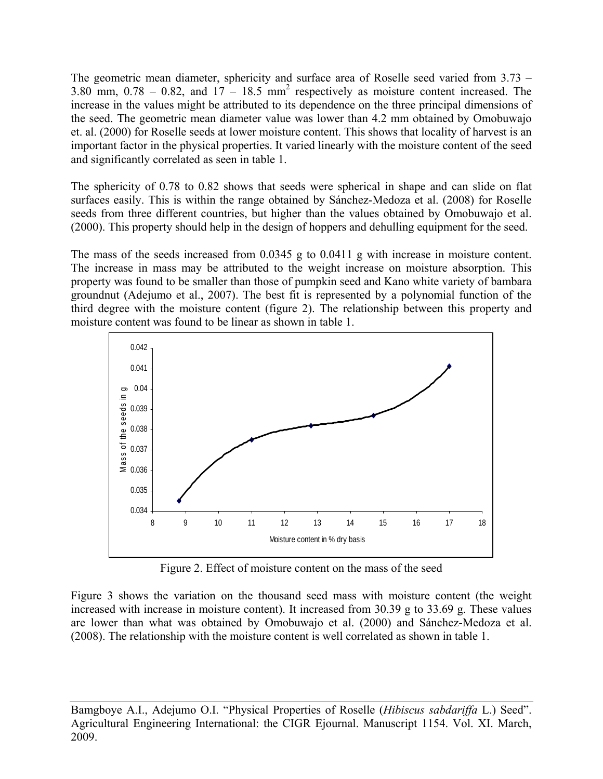The geometric mean diameter, sphericity and surface area of Roselle seed varied from 3.73 – 3.80 mm,  $0.78 - 0.82$ , and  $17 - 18.5$  mm<sup>2</sup> respectively as moisture content increased. The increase in the values might be attributed to its dependence on the three principal dimensions of the seed. The geometric mean diameter value was lower than 4.2 mm obtained by Omobuwajo et. al. (2000) for Roselle seeds at lower moisture content. This shows that locality of harvest is an important factor in the physical properties. It varied linearly with the moisture content of the seed and significantly correlated as seen in table 1.

The sphericity of 0.78 to 0.82 shows that seeds were spherical in shape and can slide on flat surfaces easily. This is within the range obtained by Sánchez-Medoza et al. (2008) for Roselle seeds from three different countries, but higher than the values obtained by Omobuwajo et al. (2000). This property should help in the design of hoppers and dehulling equipment for the seed.

The mass of the seeds increased from 0.0345 g to 0.0411 g with increase in moisture content. The increase in mass may be attributed to the weight increase on moisture absorption. This property was found to be smaller than those of pumpkin seed and Kano white variety of bambara groundnut (Adejumo et al., 2007). The best fit is represented by a polynomial function of the third degree with the moisture content (figure 2). The relationship between this property and moisture content was found to be linear as shown in table 1.



Figure 2. Effect of moisture content on the mass of the seed

Figure 3 shows the variation on the thousand seed mass with moisture content (the weight increased with increase in moisture content). It increased from 30.39 g to 33.69 g. These values are lower than what was obtained by Omobuwajo et al. (2000) and Sánchez-Medoza et al. (2008). The relationship with the moisture content is well correlated as shown in table 1.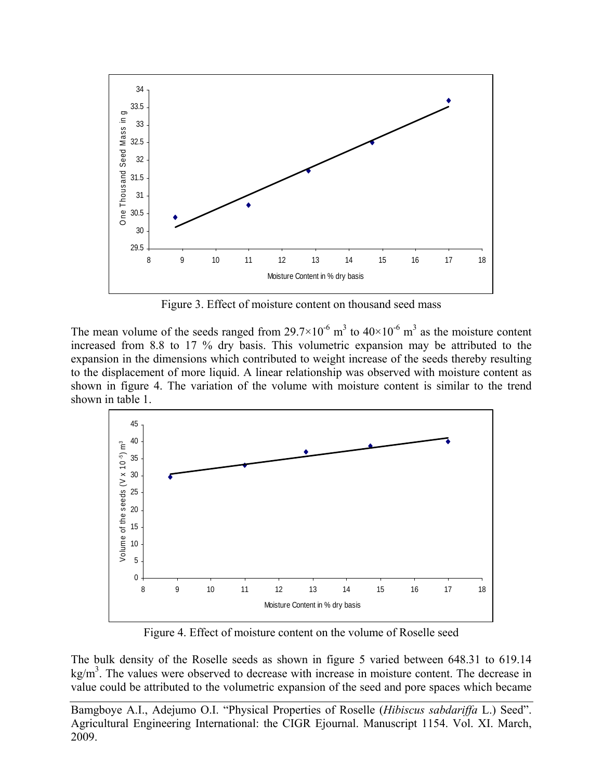

Figure 3. Effect of moisture content on thousand seed mass

The mean volume of the seeds ranged from 29.7×10<sup>-6</sup> m<sup>3</sup> to 40×10<sup>-6</sup> m<sup>3</sup> as the moisture content increased from 8.8 to 17 % dry basis. This volumetric expansion may be attributed to the expansion in the dimensions which contributed to weight increase of the seeds thereby resulting to the displacement of more liquid. A linear relationship was observed with moisture content as shown in figure 4. The variation of the volume with moisture content is similar to the trend shown in table 1.



Figure 4. Effect of moisture content on the volume of Roselle seed

The bulk density of the Roselle seeds as shown in figure 5 varied between 648.31 to 619.14  $\text{kg/m}^3$ . The values were observed to decrease with increase in moisture content. The decrease in value could be attributed to the volumetric expansion of the seed and pore spaces which became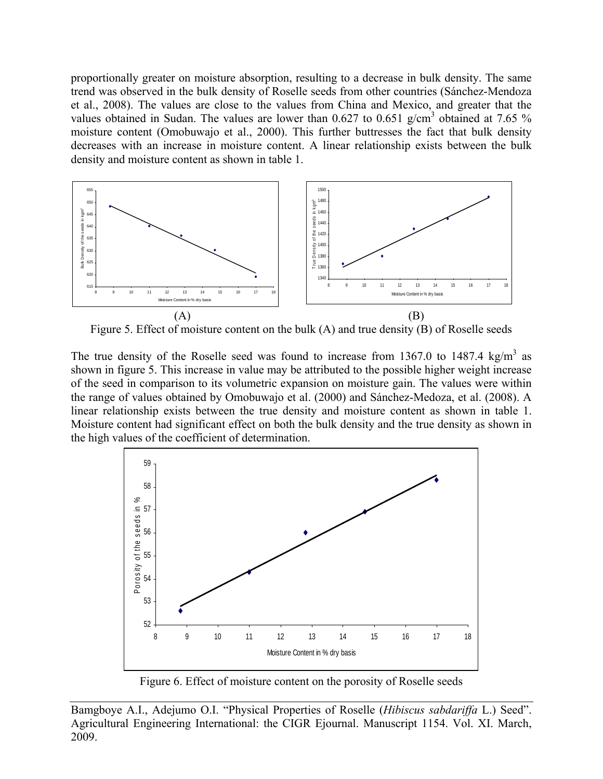proportionally greater on moisture absorption, resulting to a decrease in bulk density. The same trend was observed in the bulk density of Roselle seeds from other countries (Sánchez-Mendoza et al., 2008). The values are close to the values from China and Mexico, and greater that the values obtained in Sudan. The values are lower than 0.627 to 0.651 g/cm<sup>3</sup> obtained at 7.65 % moisture content (Omobuwajo et al., 2000). This further buttresses the fact that bulk density decreases with an increase in moisture content. A linear relationship exists between the bulk density and moisture content as shown in table 1.



Figure 5. Effect of moisture content on the bulk (A) and true density (B) of Roselle seeds

The true density of the Roselle seed was found to increase from 1367.0 to 1487.4 kg/m<sup>3</sup> as shown in figure 5. This increase in value may be attributed to the possible higher weight increase of the seed in comparison to its volumetric expansion on moisture gain. The values were within the range of values obtained by Omobuwajo et al. (2000) and Sánchez-Medoza, et al. (2008). A linear relationship exists between the true density and moisture content as shown in table 1. Moisture content had significant effect on both the bulk density and the true density as shown in the high values of the coefficient of determination.



Figure 6. Effect of moisture content on the porosity of Roselle seeds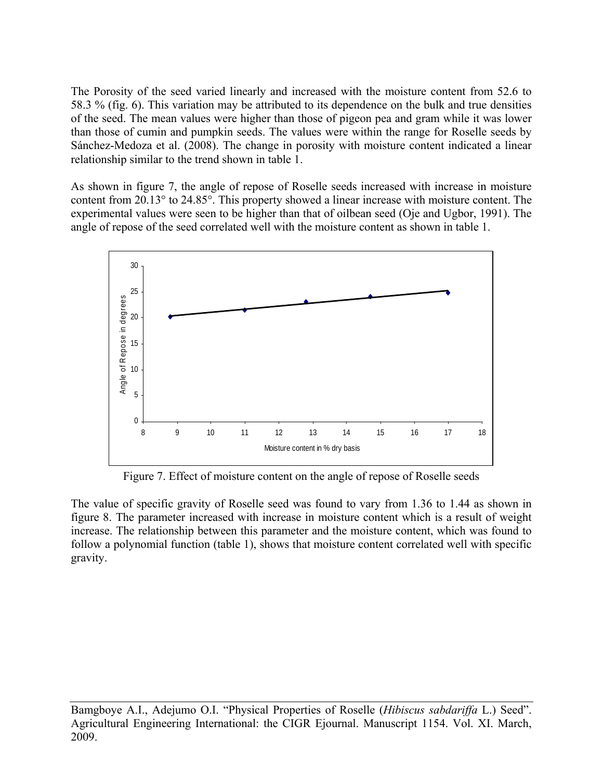The Porosity of the seed varied linearly and increased with the moisture content from 52.6 to 58.3 % (fig. 6). This variation may be attributed to its dependence on the bulk and true densities of the seed. The mean values were higher than those of pigeon pea and gram while it was lower than those of cumin and pumpkin seeds. The values were within the range for Roselle seeds by Sánchez-Medoza et al. (2008). The change in porosity with moisture content indicated a linear relationship similar to the trend shown in table 1.

As shown in figure 7, the angle of repose of Roselle seeds increased with increase in moisture content from 20.13° to 24.85°. This property showed a linear increase with moisture content. The experimental values were seen to be higher than that of oilbean seed (Oje and Ugbor, 1991). The angle of repose of the seed correlated well with the moisture content as shown in table 1.



Figure 7. Effect of moisture content on the angle of repose of Roselle seeds

The value of specific gravity of Roselle seed was found to vary from 1.36 to 1.44 as shown in figure 8. The parameter increased with increase in moisture content which is a result of weight increase. The relationship between this parameter and the moisture content, which was found to follow a polynomial function (table 1), shows that moisture content correlated well with specific gravity.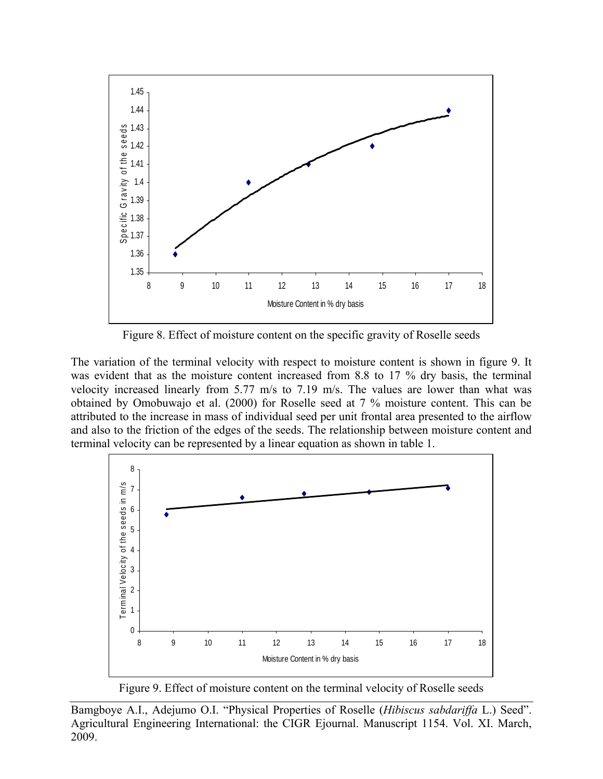

Figure 8. Effect of moisture content on the specific gravity of Roselle seeds

The variation of the terminal velocity with respect to moisture content is shown in figure 9. It was evident that as the moisture content increased from 8.8 to 17 % dry basis, the terminal velocity increased linearly from 5.77 m/s to 7.19 m/s. The values are lower than what was obtained by Omobuwajo et al. (2000) for Roselle seed at 7 % moisture content. This can be attributed to the increase in mass of individual seed per unit frontal area presented to the airflow and also to the friction of the edges of the seeds. The relationship between moisture content and terminal velocity can be represented by a linear equation as shown in table 1.



Figure 9. Effect of moisture content on the terminal velocity of Roselle seeds

Bamgboye A.I., Adejumo O.I. "Physical Properties of Roselle (*Hibiscus sabdariffa* L.) Seed". Agricultural Engineering International: the CIGR Ejournal. Manuscript 1154. Vol. XI. March, 2009.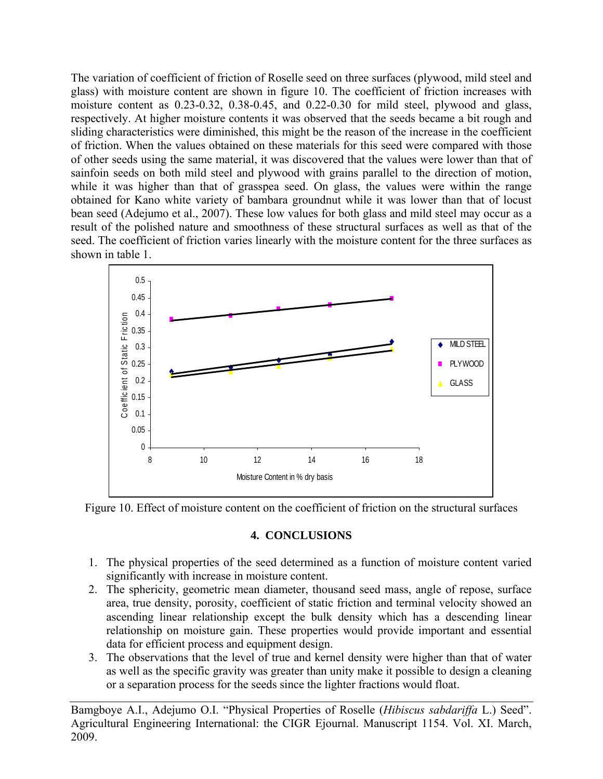The variation of coefficient of friction of Roselle seed on three surfaces (plywood, mild steel and glass) with moisture content are shown in figure 10. The coefficient of friction increases with moisture content as 0.23-0.32, 0.38-0.45, and 0.22-0.30 for mild steel, plywood and glass, respectively. At higher moisture contents it was observed that the seeds became a bit rough and sliding characteristics were diminished, this might be the reason of the increase in the coefficient of friction. When the values obtained on these materials for this seed were compared with those of other seeds using the same material, it was discovered that the values were lower than that of sainfoin seeds on both mild steel and plywood with grains parallel to the direction of motion, while it was higher than that of grasspea seed. On glass, the values were within the range obtained for Kano white variety of bambara groundnut while it was lower than that of locust bean seed (Adejumo et al., 2007). These low values for both glass and mild steel may occur as a result of the polished nature and smoothness of these structural surfaces as well as that of the seed. The coefficient of friction varies linearly with the moisture content for the three surfaces as shown in table 1.



Figure 10. Effect of moisture content on the coefficient of friction on the structural surfaces

# **4. CONCLUSIONS**

- 1. The physical properties of the seed determined as a function of moisture content varied significantly with increase in moisture content.
- 2. The sphericity, geometric mean diameter, thousand seed mass, angle of repose, surface area, true density, porosity, coefficient of static friction and terminal velocity showed an ascending linear relationship except the bulk density which has a descending linear relationship on moisture gain. These properties would provide important and essential data for efficient process and equipment design.
- 3. The observations that the level of true and kernel density were higher than that of water as well as the specific gravity was greater than unity make it possible to design a cleaning or a separation process for the seeds since the lighter fractions would float.

Bamgboye A.I., Adejumo O.I. "Physical Properties of Roselle (*Hibiscus sabdariffa* L.) Seed". Agricultural Engineering International: the CIGR Ejournal. Manuscript 1154. Vol. XI. March, 2009.